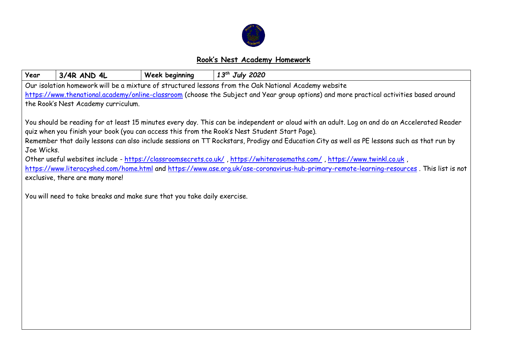

## **Rook's Nest Academy Homework**

| Year                                                                                                                                         | 3/4R AND 4L                                                                                                                                                                  | Week beginning                                                           | $13^{th}$ July 2020 |  |  |  |  |  |
|----------------------------------------------------------------------------------------------------------------------------------------------|------------------------------------------------------------------------------------------------------------------------------------------------------------------------------|--------------------------------------------------------------------------|---------------------|--|--|--|--|--|
| Our isolation homework will be a mixture of structured lessons from the Oak National Academy website                                         |                                                                                                                                                                              |                                                                          |                     |  |  |  |  |  |
| https://www.thenational.academy/online-classroom (choose the Subject and Year group options) and more practical activities based around      |                                                                                                                                                                              |                                                                          |                     |  |  |  |  |  |
| the Rook's Nest Academy curriculum.                                                                                                          |                                                                                                                                                                              |                                                                          |                     |  |  |  |  |  |
|                                                                                                                                              |                                                                                                                                                                              |                                                                          |                     |  |  |  |  |  |
| You should be reading for at least 15 minutes every day. This can be independent or aloud with an adult. Log on and do an Accelerated Reader |                                                                                                                                                                              |                                                                          |                     |  |  |  |  |  |
| quiz when you finish your book (you can access this from the Rook's Nest Student Start Page).                                                |                                                                                                                                                                              |                                                                          |                     |  |  |  |  |  |
| Remember that daily lessons can also include sessions on TT Rockstars, Prodigy and Education City as well as PE lessons such as that run by  |                                                                                                                                                                              |                                                                          |                     |  |  |  |  |  |
| Joe Wicks.                                                                                                                                   |                                                                                                                                                                              |                                                                          |                     |  |  |  |  |  |
| , Other useful websites include - https://classroomsecrets.co.uk/, https://whiterosemaths.com/, https://www.twinkl.co.uk                     |                                                                                                                                                                              |                                                                          |                     |  |  |  |  |  |
|                                                                                                                                              | https://www.literacyshed.com/home.html and https://www.ase.org.uk/ase-coronavirus-hub-primary-remote-learning-resources. This list is not<br>exclusive, there are many more! |                                                                          |                     |  |  |  |  |  |
|                                                                                                                                              |                                                                                                                                                                              |                                                                          |                     |  |  |  |  |  |
|                                                                                                                                              |                                                                                                                                                                              | You will need to take breaks and make sure that you take daily exercise. |                     |  |  |  |  |  |
|                                                                                                                                              |                                                                                                                                                                              |                                                                          |                     |  |  |  |  |  |
|                                                                                                                                              |                                                                                                                                                                              |                                                                          |                     |  |  |  |  |  |
|                                                                                                                                              |                                                                                                                                                                              |                                                                          |                     |  |  |  |  |  |
|                                                                                                                                              |                                                                                                                                                                              |                                                                          |                     |  |  |  |  |  |
|                                                                                                                                              |                                                                                                                                                                              |                                                                          |                     |  |  |  |  |  |
|                                                                                                                                              |                                                                                                                                                                              |                                                                          |                     |  |  |  |  |  |
|                                                                                                                                              |                                                                                                                                                                              |                                                                          |                     |  |  |  |  |  |
|                                                                                                                                              |                                                                                                                                                                              |                                                                          |                     |  |  |  |  |  |
|                                                                                                                                              |                                                                                                                                                                              |                                                                          |                     |  |  |  |  |  |
|                                                                                                                                              |                                                                                                                                                                              |                                                                          |                     |  |  |  |  |  |
|                                                                                                                                              |                                                                                                                                                                              |                                                                          |                     |  |  |  |  |  |
|                                                                                                                                              |                                                                                                                                                                              |                                                                          |                     |  |  |  |  |  |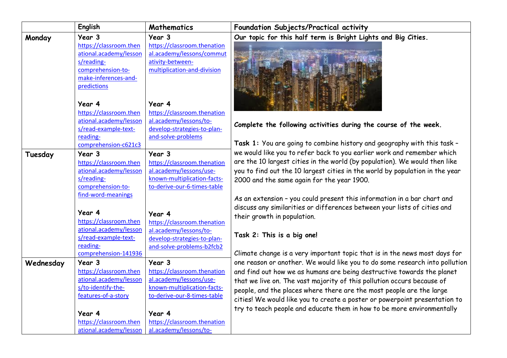|           | English                | Mathematics                 | Foundation Subjects/Practical activity                                       |
|-----------|------------------------|-----------------------------|------------------------------------------------------------------------------|
| Monday    | Year 3                 | Year 3                      | Our topic for this half term is Bright Lights and Big Cities.                |
|           | https://classroom.then | https://classroom.thenation |                                                                              |
|           | ational.academy/lesson | al.academy/lessons/commut   |                                                                              |
|           | s/reading-             | ativity-between-            |                                                                              |
|           | comprehension-to-      | multiplication-and-division |                                                                              |
|           | make-inferences-and-   |                             |                                                                              |
|           | predictions            |                             |                                                                              |
|           |                        |                             |                                                                              |
|           | Year 4                 | Year 4                      |                                                                              |
|           | https://classroom.then | https://classroom.thenation |                                                                              |
|           | ational.academy/lesson | al.academy/lessons/to-      | Complete the following activities during the course of the week.             |
|           | s/read-example-text-   | develop-strategies-to-plan- |                                                                              |
|           | reading-               | and-solve-problems          |                                                                              |
|           | comprehension-c621c3   |                             | Task 1: You are going to combine history and geography with this task -      |
| Tuesday   | Year 3                 | Year 3                      | we would like you to refer back to you earlier work and remember which       |
|           | https://classroom.then | https://classroom.thenation | are the 10 largest cities in the world (by population). We would then like   |
|           | ational.academy/lesson | al.academy/lessons/use-     | you to find out the 10 largest cities in the world by population in the year |
|           | s/reading-             | known-multiplication-facts- | 2000 and the same again for the year 1900.                                   |
|           | comprehension-to-      | to-derive-our-6-times-table |                                                                              |
|           | find-word-meanings     |                             | As an extension - you could present this information in a bar chart and      |
|           |                        |                             | discuss any similarities or differences between your lists of cities and     |
|           | Year 4                 | Year 4                      | their growth in population.                                                  |
|           | https://classroom.then | https://classroom.thenation |                                                                              |
|           | ational.academy/lesson | al.academy/lessons/to-      |                                                                              |
|           | s/read-example-text-   | develop-strategies-to-plan- | Task 2: This is a big one!                                                   |
|           | reading-               | and-solve-problems-b2fcb2   |                                                                              |
|           | comprehension-141936   |                             | Climate change is a very important topic that is in the news most days for   |
| Wednesday | Year 3                 | Year 3                      | one reason or another. We would like you to do some research into pollution  |
|           | https://classroom.then | https://classroom.thenation | and find out how we as humans are being destructive towards the planet       |
|           | ational.academy/lesson | al.academy/lessons/use-     | that we live on. The vast majority of this pollution occurs because of       |
|           | s/to-identify-the-     | known-multiplication-facts- | people, and the places where there are the most people are the large         |
|           | features-of-a-story    | to-derive-our-8-times-table | cities! We would like you to create a poster or powerpoint presentation to   |
|           |                        |                             | try to teach people and educate them in how to be more environmentally       |
|           | Year 4                 | Year 4                      |                                                                              |
|           | https://classroom.then | https://classroom.thenation |                                                                              |
|           | ational.academy/lesson | al.academy/lessons/to-      |                                                                              |